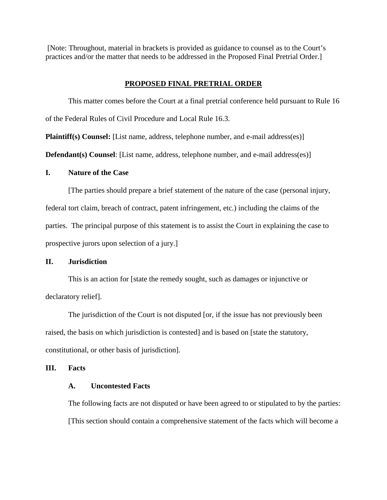[Note: Throughout, material in brackets is provided as guidance to counsel as to the Court's practices and/or the matter that needs to be addressed in the Proposed Final Pretrial Order.]

# **PROPOSED FINAL PRETRIAL ORDER**

This matter comes before the Court at a final pretrial conference held pursuant to Rule 16 of the Federal Rules of Civil Procedure and Local Rule 16.3.

**Plaintiff(s) Counsel:** [List name, address, telephone number, and e-mail address(es)]

**Defendant(s) Counsel:** [List name, address, telephone number, and e-mail address(es)]

### **I. Nature of the Case**

[The parties should prepare a brief statement of the nature of the case (personal injury, federal tort claim, breach of contract, patent infringement, etc.) including the claims of the parties. The principal purpose of this statement is to assist the Court in explaining the case to prospective jurors upon selection of a jury.]

# **II. Jurisdiction**

This is an action for [state the remedy sought, such as damages or injunctive or declaratory relief].

The jurisdiction of the Court is not disputed [or, if the issue has not previously been raised, the basis on which jurisdiction is contested] and is based on [state the statutory, constitutional, or other basis of jurisdiction].

## **III. Facts**

# **A. Uncontested Facts**

The following facts are not disputed or have been agreed to or stipulated to by the parties: [This section should contain a comprehensive statement of the facts which will become a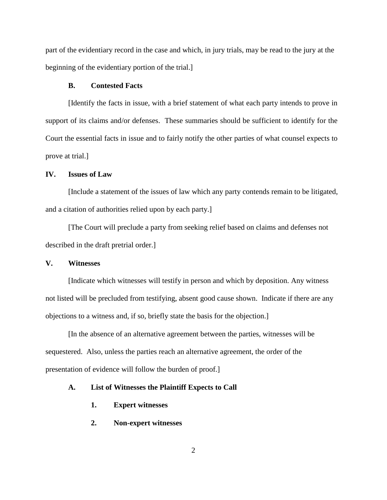part of the evidentiary record in the case and which, in jury trials, may be read to the jury at the beginning of the evidentiary portion of the trial.]

#### **B. Contested Facts**

[Identify the facts in issue, with a brief statement of what each party intends to prove in support of its claims and/or defenses. These summaries should be sufficient to identify for the Court the essential facts in issue and to fairly notify the other parties of what counsel expects to prove at trial.]

### **IV. Issues of Law**

[Include a statement of the issues of law which any party contends remain to be litigated, and a citation of authorities relied upon by each party.]

[The Court will preclude a party from seeking relief based on claims and defenses not described in the draft pretrial order.]

### **V. Witnesses**

[Indicate which witnesses will testify in person and which by deposition. Any witness not listed will be precluded from testifying, absent good cause shown. Indicate if there are any objections to a witness and, if so, briefly state the basis for the objection.]

[In the absence of an alternative agreement between the parties, witnesses will be sequestered. Also, unless the parties reach an alternative agreement, the order of the presentation of evidence will follow the burden of proof.]

#### **A. List of Witnesses the Plaintiff Expects to Call**

- **1. Expert witnesses**
- **2. Non-expert witnesses**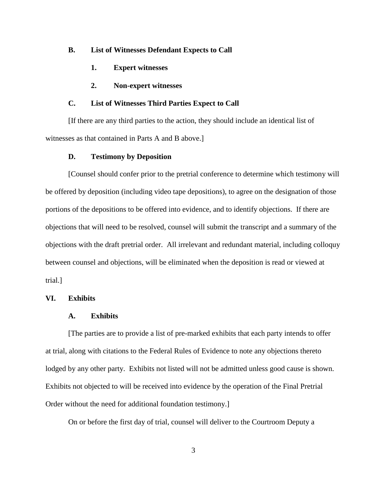#### **B. List of Witnesses Defendant Expects to Call**

- **1. Expert witnesses**
- **2. Non-expert witnesses**

## **C. List of Witnesses Third Parties Expect to Call**

[If there are any third parties to the action, they should include an identical list of witnesses as that contained in Parts A and B above.]

#### **D. Testimony by Deposition**

[Counsel should confer prior to the pretrial conference to determine which testimony will be offered by deposition (including video tape depositions), to agree on the designation of those portions of the depositions to be offered into evidence, and to identify objections. If there are objections that will need to be resolved, counsel will submit the transcript and a summary of the objections with the draft pretrial order. All irrelevant and redundant material, including colloquy between counsel and objections, will be eliminated when the deposition is read or viewed at trial.]

### **VI. Exhibits**

### **A. Exhibits**

[The parties are to provide a list of pre-marked exhibits that each party intends to offer at trial, along with citations to the Federal Rules of Evidence to note any objections thereto lodged by any other party. Exhibits not listed will not be admitted unless good cause is shown. Exhibits not objected to will be received into evidence by the operation of the Final Pretrial Order without the need for additional foundation testimony.]

On or before the first day of trial, counsel will deliver to the Courtroom Deputy a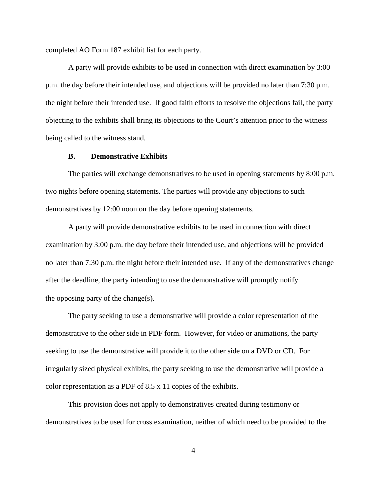completed AO Form 187 exhibit list for each party.

A party will provide exhibits to be used in connection with direct examination by 3:00 p.m. the day before their intended use, and objections will be provided no later than 7:30 p.m. the night before their intended use. If good faith efforts to resolve the objections fail, the party objecting to the exhibits shall bring its objections to the Court's attention prior to the witness being called to the witness stand.

## **B. Demonstrative Exhibits**

The parties will exchange demonstratives to be used in opening statements by 8:00 p.m. two nights before opening statements. The parties will provide any objections to such demonstratives by 12:00 noon on the day before opening statements.

A party will provide demonstrative exhibits to be used in connection with direct examination by 3:00 p.m. the day before their intended use, and objections will be provided no later than 7:30 p.m. the night before their intended use. If any of the demonstratives change after the deadline, the party intending to use the demonstrative will promptly notify the opposing party of the change(s).

The party seeking to use a demonstrative will provide a color representation of the demonstrative to the other side in PDF form. However, for video or animations, the party seeking to use the demonstrative will provide it to the other side on a DVD or CD. For irregularly sized physical exhibits, the party seeking to use the demonstrative will provide a color representation as a PDF of 8.5 x 11 copies of the exhibits.

This provision does not apply to demonstratives created during testimony or demonstratives to be used for cross examination, neither of which need to be provided to the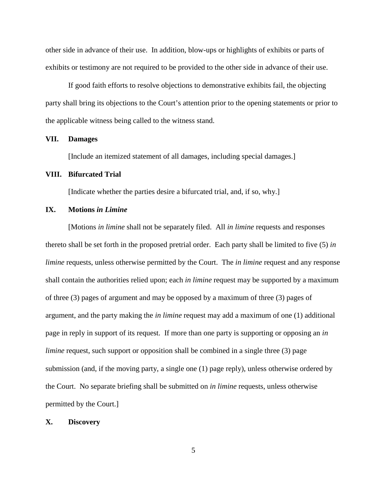other side in advance of their use. In addition, blow-ups or highlights of exhibits or parts of exhibits or testimony are not required to be provided to the other side in advance of their use.

If good faith efforts to resolve objections to demonstrative exhibits fail, the objecting party shall bring its objections to the Court's attention prior to the opening statements or prior to the applicable witness being called to the witness stand.

### **VII. Damages**

[Include an itemized statement of all damages, including special damages.]

#### **VIII. Bifurcated Trial**

[Indicate whether the parties desire a bifurcated trial, and, if so, why.]

### **IX. Motions** *in Limine*

[Motions *in limine* shall not be separately filed. All *in limine* requests and responses thereto shall be set forth in the proposed pretrial order. Each party shall be limited to five (5) *in limine* requests, unless otherwise permitted by the Court. The *in limine* request and any response shall contain the authorities relied upon; each *in limine* request may be supported by a maximum of three (3) pages of argument and may be opposed by a maximum of three (3) pages of argument, and the party making the *in limine* request may add a maximum of one (1) additional page in reply in support of its request. If more than one party is supporting or opposing an *in limine* request, such support or opposition shall be combined in a single three (3) page submission (and, if the moving party, a single one (1) page reply), unless otherwise ordered by the Court. No separate briefing shall be submitted on *in limine* requests, unless otherwise permitted by the Court.]

#### **X. Discovery**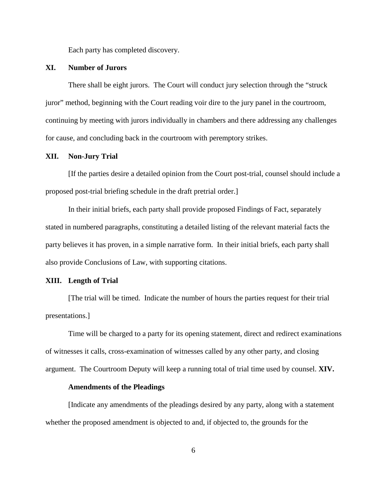Each party has completed discovery.

# **XI. Number of Jurors**

There shall be eight jurors. The Court will conduct jury selection through the "struck juror" method, beginning with the Court reading voir dire to the jury panel in the courtroom, continuing by meeting with jurors individually in chambers and there addressing any challenges for cause, and concluding back in the courtroom with peremptory strikes.

### **XII. Non-Jury Trial**

[If the parties desire a detailed opinion from the Court post-trial, counsel should include a proposed post-trial briefing schedule in the draft pretrial order.]

In their initial briefs, each party shall provide proposed Findings of Fact, separately stated in numbered paragraphs, constituting a detailed listing of the relevant material facts the party believes it has proven, in a simple narrative form. In their initial briefs, each party shall also provide Conclusions of Law, with supporting citations.

#### **XIII. Length of Trial**

[The trial will be timed. Indicate the number of hours the parties request for their trial presentations.]

Time will be charged to a party for its opening statement, direct and redirect examinations of witnesses it calls, cross-examination of witnesses called by any other party, and closing argument. The Courtroom Deputy will keep a running total of trial time used by counsel. **XIV.**

#### **Amendments of the Pleadings**

[Indicate any amendments of the pleadings desired by any party, along with a statement whether the proposed amendment is objected to and, if objected to, the grounds for the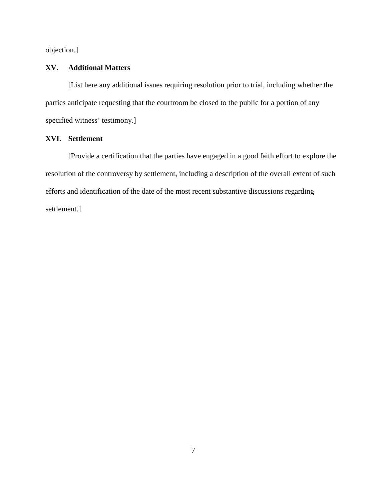objection.]

# **XV. Additional Matters**

[List here any additional issues requiring resolution prior to trial, including whether the parties anticipate requesting that the courtroom be closed to the public for a portion of any specified witness' testimony.]

# **XVI. Settlement**

[Provide a certification that the parties have engaged in a good faith effort to explore the resolution of the controversy by settlement, including a description of the overall extent of such efforts and identification of the date of the most recent substantive discussions regarding settlement.]